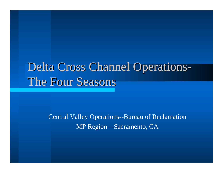# Delta Cross Channel Operations The Four Seasons

Central Valley Operations--Bureau of Reclamation MP Region—Sacramento, CA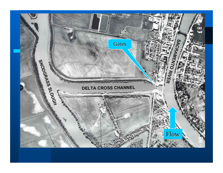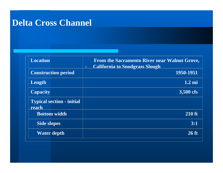#### **Delta Cross Channel**

| <b>Location</b>                           | From the Sacramento River near Walnut Grove,<br><b>California to Snodgrass Slough</b><br>$\blacksquare$ |
|-------------------------------------------|---------------------------------------------------------------------------------------------------------|
| <b>Construction period</b>                | 1950-1951                                                                                               |
| Length                                    | $1.2 \text{ mi}$                                                                                        |
| <b>Capacity</b>                           | 3,500 cfs                                                                                               |
| <b>Typical section - initial</b><br>reach |                                                                                                         |
| <b>Bottom width</b>                       | <b>210 ft</b>                                                                                           |
| <b>Side slopes</b>                        | 3:1                                                                                                     |
| <b>Water depth</b>                        | $26$ ft                                                                                                 |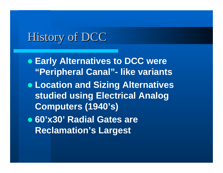## History of DCC

- **Early Alternatives to DCC were "Peripheral Canal"- like variants** z **Location and Sizing Alternatives studied using Electrical Analog Computers (1940's)**
- z **60'x30' Radial Gates are Reclamation's Largest**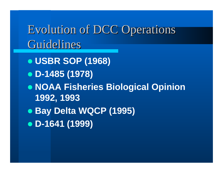Evolution of DCC Operations Evolution of DCC Operations Guidelines

- z **USBR SOP (1968)**
- z **D-1485 (1978)**
- z **NOAA Fisheries Biological Opinion 1992, 1993**
- z **Bay Delta WQCP (1995)**
- z **D-1641 (1999)**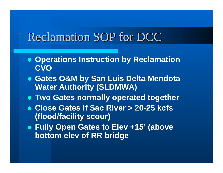## Reclamation SOP for DCC

- **Operations Instruction by Reclamation CVO**
- **Gates O&M by San Luis Delta Mendota Water Authority (SLDMWA)**
- **Two Gates normally operated together**
- z **Close Gates if Sac River > 20-25 kcfs (flood/facility scour)**
- z **Fully Open Gates to Elev +15' (above bottom elev of RR bridge**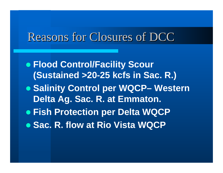### Reasons for Closures of DCC

- z **Flood Control/Facility Scour (Sustained >20-25 kcfs in Sac. R.)**
- z **Salinity Control per WQCP– Western Delta Ag. Sac. R. at Emmaton.**
- **Fish Protection per Delta WQCP**
- **Sac. R. flow at Rio Vista WQCP**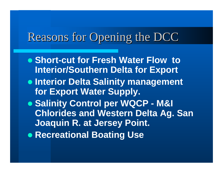## Reasons for Opening the DCC

- **Short-cut for Fresh Water Flow to Interior/Southern Delta for Export**
- **Interior Delta Salinity management for Export Water Supply.**
- z **Salinity Control per WQCP - M&I Chlorides and Western Delta Ag. San Joaquin R. at Jersey Point.**
- **Recreational Boating Use**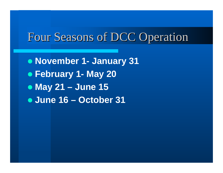## Four Seasons of DCC Operation

z **November 1- January 31** z **February 1- May 20** z **May 21 – June 15** z **June 16 – October 31**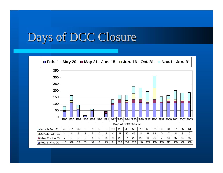## Days of DCC Closure

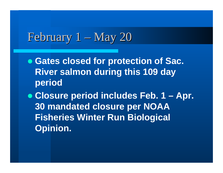## February  $1 -$ May 20

**• Gates closed for protection of Sac. River salmon during this 109 day period**

z **Closure period includes Feb. 1 – Apr. 30 mandated closure per NOAA Fisheries Winter Run Biological Opinion.**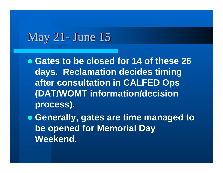## May 21- June 15

- **Gates to be closed for 14 of these 26 days. Reclamation decides timing after consultation in CALFED Ops (DAT/WOMT information/decision process).**
- **Generally, gates are time managed to be opened for Memorial Day Weekend.**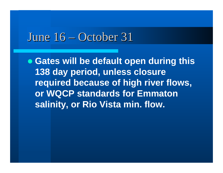#### June  $16 -$ October 31

**• Gates will be default open during this 138 day period, unless closure required because of high river flows, or WQCP standards for Emmaton salinity, or Rio Vista min. flow.**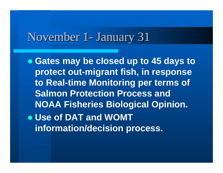## November 1- January 31

**• Gates may be closed up to 45 days to protect out-migrant fish, in response to Real-time Monitoring per terms of Salmon Protection Process and NOAA Fisheries Biological Opinion.** z **Use of DAT and WOMT information/decision process.**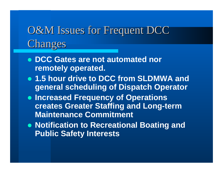# O&M Issues for Frequent DCC Changes

- z **DCC Gates are not automated nor remotely operated.**
- **1.5 hour drive to DCC from SLDMWA and general scheduling of Dispatch Operator**
- **Increased Frequency of Operations creates Greater Staffing and Long-term Maintenance Commitment**
- **Notification to Recreational Boating and Public Safety Interests**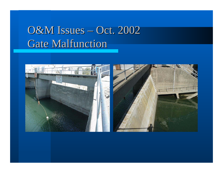#### O&M Issues – Oct. 2002 Gate Malfunction